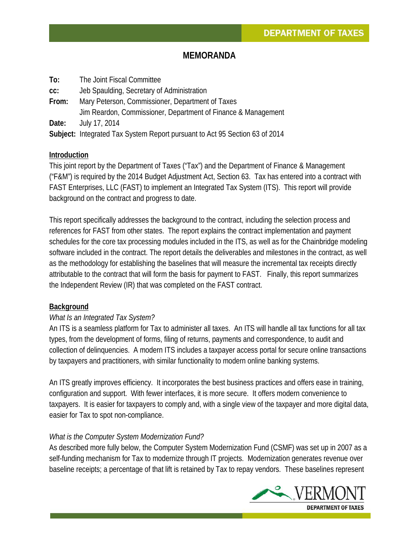## **MEMORANDA**

**To:** The Joint Fiscal Committee **cc:** Jeb Spaulding, Secretary of Administration **From:** Mary Peterson, Commissioner, Department of Taxes Jim Reardon, Commissioner, Department of Finance & Management **Date:** July 17, 2014

**Subject:** Integrated Tax System Report pursuant to Act 95 Section 63 of 2014

#### **Introduction**

This joint report by the Department of Taxes ("Tax") and the Department of Finance & Management ("F&M") is required by the 2014 Budget Adjustment Act, Section 63. Tax has entered into a contract with FAST Enterprises, LLC (FAST) to implement an Integrated Tax System (ITS). This report will provide background on the contract and progress to date.

This report specifically addresses the background to the contract, including the selection process and references for FAST from other states. The report explains the contract implementation and payment schedules for the core tax processing modules included in the ITS, as well as for the Chainbridge modeling software included in the contract. The report details the deliverables and milestones in the contract, as well as the methodology for establishing the baselines that will measure the incremental tax receipts directly attributable to the contract that will form the basis for payment to FAST. Finally, this report summarizes the Independent Review (IR) that was completed on the FAST contract.

#### **Background**

#### *What Is an Integrated Tax System?*

An ITS is a seamless platform for Tax to administer all taxes. An ITS will handle all tax functions for all tax types, from the development of forms, filing of returns, payments and correspondence, to audit and collection of delinquencies. A modern ITS includes a taxpayer access portal for secure online transactions by taxpayers and practitioners, with similar functionality to modern online banking systems.

An ITS greatly improves efficiency. It incorporates the best business practices and offers ease in training, configuration and support. With fewer interfaces, it is more secure. It offers modern convenience to taxpayers. It is easier for taxpayers to comply and, with a single view of the taxpayer and more digital data, easier for Tax to spot non-compliance.

#### *What is the Computer System Modernization Fund?*

As described more fully below, the Computer System Modernization Fund (CSMF) was set up in 2007 as a self-funding mechanism for Tax to modernize through IT projects. Modernization generates revenue over baseline receipts; a percentage of that lift is retained by Tax to repay vendors. These baselines represent

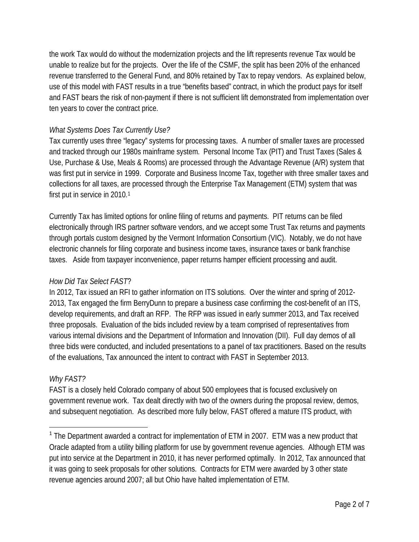the work Tax would do without the modernization projects and the lift represents revenue Tax would be unable to realize but for the projects. Over the life of the CSMF, the split has been 20% of the enhanced revenue transferred to the General Fund, and 80% retained by Tax to repay vendors. As explained below, use of this model with FAST results in a true "benefits based" contract, in which the product pays for itself and FAST bears the risk of non-payment if there is not sufficient lift demonstrated from implementation over ten years to cover the contract price.

# *What Systems Does Tax Currently Use?*

Tax currently uses three "legacy" systems for processing taxes. A number of smaller taxes are processed and tracked through our 1980s mainframe system. Personal Income Tax (PIT) and Trust Taxes (Sales & Use, Purchase & Use, Meals & Rooms) are processed through the Advantage Revenue (A/R) system that was first put in service in 1999. Corporate and Business Income Tax, together with three smaller taxes and collections for all taxes, are processed through the Enterprise Tax Management (ETM) system that was first put in service in 20[1](#page-1-0)0.<sup>1</sup>

Currently Tax has limited options for online filing of returns and payments. PIT returns can be filed electronically through IRS partner software vendors, and we accept some Trust Tax returns and payments through portals custom designed by the Vermont Information Consortium (VIC). Notably, we do not have electronic channels for filing corporate and business income taxes, insurance taxes or bank franchise taxes. Aside from taxpayer inconvenience, paper returns hamper efficient processing and audit.

### *How Did Tax Select FAST*?

In 2012, Tax issued an RFI to gather information on ITS solutions. Over the winter and spring of 2012- 2013, Tax engaged the firm BerryDunn to prepare a business case confirming the cost-benefit of an ITS, develop requirements, and draft an RFP. The RFP was issued in early summer 2013, and Tax received three proposals. Evaluation of the bids included review by a team comprised of representatives from various internal divisions and the Department of Information and Innovation (DII). Full day demos of all three bids were conducted, and included presentations to a panel of tax practitioners. Based on the results of the evaluations, Tax announced the intent to contract with FAST in September 2013.

### *Why FAST?*

FAST is a closely held Colorado company of about 500 employees that is focused exclusively on government revenue work. Tax dealt directly with two of the owners during the proposal review, demos, and subsequent negotiation. As described more fully below, FAST offered a mature ITS product, with

<span id="page-1-0"></span><sup>&</sup>lt;sup>1</sup> The Department awarded a contract for implementation of ETM in 2007. ETM was a new product that Oracle adapted from a utility billing platform for use by government revenue agencies. Although ETM was put into service at the Department in 2010, it has never performed optimally. In 2012, Tax announced that it was going to seek proposals for other solutions. Contracts for ETM were awarded by 3 other state revenue agencies around 2007; all but Ohio have halted implementation of ETM.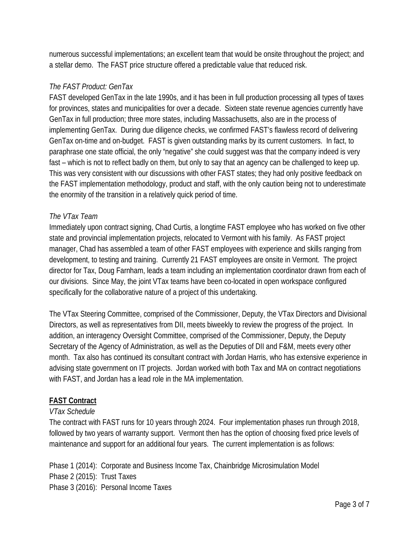numerous successful implementations; an excellent team that would be onsite throughout the project; and a stellar demo. The FAST price structure offered a predictable value that reduced risk.

# *The FAST Product: GenTax*

FAST developed GenTax in the late 1990s, and it has been in full production processing all types of taxes for provinces, states and municipalities for over a decade. Sixteen state revenue agencies currently have GenTax in full production; three more states, including Massachusetts, also are in the process of implementing GenTax. During due diligence checks, we confirmed FAST's flawless record of delivering GenTax on-time and on-budget. FAST is given outstanding marks by its current customers. In fact, to paraphrase one state official, the only "negative" she could suggest was that the company indeed is very fast – which is not to reflect badly on them, but only to say that an agency can be challenged to keep up. This was very consistent with our discussions with other FAST states; they had only positive feedback on the FAST implementation methodology, product and staff, with the only caution being not to underestimate the enormity of the transition in a relatively quick period of time.

## *The VTax Team*

Immediately upon contract signing, Chad Curtis, a longtime FAST employee who has worked on five other state and provincial implementation projects, relocated to Vermont with his family. As FAST project manager, Chad has assembled a team of other FAST employees with experience and skills ranging from development, to testing and training. Currently 21 FAST employees are onsite in Vermont. The project director for Tax, Doug Farnham, leads a team including an implementation coordinator drawn from each of our divisions. Since May, the joint VTax teams have been co-located in open workspace configured specifically for the collaborative nature of a project of this undertaking.

The VTax Steering Committee, comprised of the Commissioner, Deputy, the VTax Directors and Divisional Directors, as well as representatives from DII, meets biweekly to review the progress of the project. In addition, an interagency Oversight Committee, comprised of the Commissioner, Deputy, the Deputy Secretary of the Agency of Administration, as well as the Deputies of DII and F&M, meets every other month. Tax also has continued its consultant contract with Jordan Harris, who has extensive experience in advising state government on IT projects. Jordan worked with both Tax and MA on contract negotiations with FAST, and Jordan has a lead role in the MA implementation.

# **FAST Contract**

### *VTax Schedule*

The contract with FAST runs for 10 years through 2024. Four implementation phases run through 2018, followed by two years of warranty support. Vermont then has the option of choosing fixed price levels of maintenance and support for an additional four years. The current implementation is as follows:

Phase 1 (2014): Corporate and Business Income Tax, Chainbridge Microsimulation Model Phase 2 (2015): Trust Taxes Phase 3 (2016): Personal Income Taxes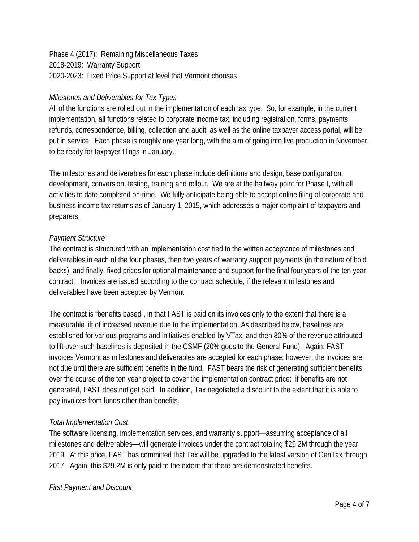Phase 4 (2017): Remaining Miscellaneous Taxes 2018-2019: Warranty Support 2020-2023: Fixed Price Support at level that Vermont chooses

### *Milestones and Deliverables for Tax Types*

All of the functions are rolled out in the implementation of each tax type. So, for example, in the current implementation, all functions related to corporate income tax, including registration, forms, payments, refunds, correspondence, billing, collection and audit, as well as the online taxpayer access portal, will be put in service. Each phase is roughly one year long, with the aim of going into live production in November, to be ready for taxpayer filings in January.

The milestones and deliverables for each phase include definitions and design, base configuration, development, conversion, testing, training and rollout. We are at the halfway point for Phase I, with all activities to date completed on-time. We fully anticipate being able to accept online filing of corporate and business income tax returns as of January 1, 2015, which addresses a major complaint of taxpayers and preparers.

#### *Payment Structure*

The contract is structured with an implementation cost tied to the written acceptance of milestones and deliverables in each of the four phases, then two years of warranty support payments (in the nature of hold backs), and finally, fixed prices for optional maintenance and support for the final four years of the ten year contract. Invoices are issued according to the contract schedule, if the relevant milestones and deliverables have been accepted by Vermont.

The contract is "benefits based", in that FAST is paid on its invoices only to the extent that there is a measurable lift of increased revenue due to the implementation. As described below, baselines are established for various programs and initiatives enabled by VTax, and then 80% of the revenue attributed to lift over such baselines is deposited in the CSMF (20% goes to the General Fund). Again, FAST invoices Vermont as milestones and deliverables are accepted for each phase; however, the invoices are not due until there are sufficient benefits in the fund. FAST bears the risk of generating sufficient benefits over the course of the ten year project to cover the implementation contract price: if benefits are not generated, FAST does not get paid. In addition, Tax negotiated a discount to the extent that it is able to pay invoices from funds other than benefits.

### *Total Implementation Cost*

The software licensing, implementation services, and warranty support—assuming acceptance of all milestones and deliverables—will generate invoices under the contract totaling \$29.2M through the year 2019. At this price, FAST has committed that Tax will be upgraded to the latest version of GenTax through 2017. Again, this \$29.2M is only paid to the extent that there are demonstrated benefits.

#### *First Payment and Discount*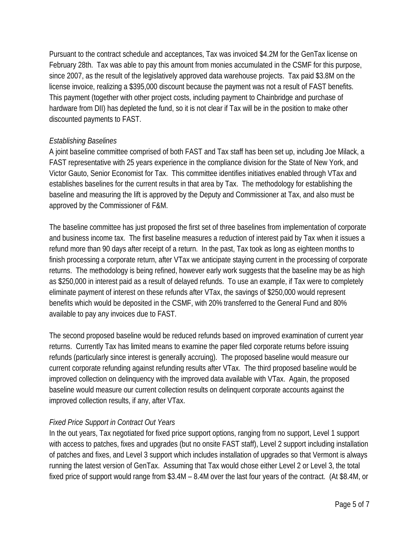Pursuant to the contract schedule and acceptances, Tax was invoiced \$4.2M for the GenTax license on February 28th. Tax was able to pay this amount from monies accumulated in the CSMF for this purpose, since 2007, as the result of the legislatively approved data warehouse projects. Tax paid \$3.8M on the license invoice, realizing a \$395,000 discount because the payment was not a result of FAST benefits. This payment (together with other project costs, including payment to Chainbridge and purchase of hardware from DII) has depleted the fund, so it is not clear if Tax will be in the position to make other discounted payments to FAST.

### *Establishing Baselines*

A joint baseline committee comprised of both FAST and Tax staff has been set up, including Joe Milack, a FAST representative with 25 years experience in the compliance division for the State of New York, and Victor Gauto, Senior Economist for Tax. This committee identifies initiatives enabled through VTax and establishes baselines for the current results in that area by Tax. The methodology for establishing the baseline and measuring the lift is approved by the Deputy and Commissioner at Tax, and also must be approved by the Commissioner of F&M.

The baseline committee has just proposed the first set of three baselines from implementation of corporate and business income tax. The first baseline measures a reduction of interest paid by Tax when it issues a refund more than 90 days after receipt of a return. In the past, Tax took as long as eighteen months to finish processing a corporate return, after VTax we anticipate staying current in the processing of corporate returns. The methodology is being refined, however early work suggests that the baseline may be as high as \$250,000 in interest paid as a result of delayed refunds. To use an example, if Tax were to completely eliminate payment of interest on these refunds after VTax, the savings of \$250,000 would represent benefits which would be deposited in the CSMF, with 20% transferred to the General Fund and 80% available to pay any invoices due to FAST.

The second proposed baseline would be reduced refunds based on improved examination of current year returns. Currently Tax has limited means to examine the paper filed corporate returns before issuing refunds (particularly since interest is generally accruing). The proposed baseline would measure our current corporate refunding against refunding results after VTax. The third proposed baseline would be improved collection on delinquency with the improved data available with VTax. Again, the proposed baseline would measure our current collection results on delinquent corporate accounts against the improved collection results, if any, after VTax.

### *Fixed Price Support in Contract Out Years*

In the out years, Tax negotiated for fixed price support options, ranging from no support, Level 1 support with access to patches, fixes and upgrades (but no onsite FAST staff), Level 2 support including installation of patches and fixes, and Level 3 support which includes installation of upgrades so that Vermont is always running the latest version of GenTax. Assuming that Tax would chose either Level 2 or Level 3, the total fixed price of support would range from \$3.4M – 8.4M over the last four years of the contract. (At \$8.4M, or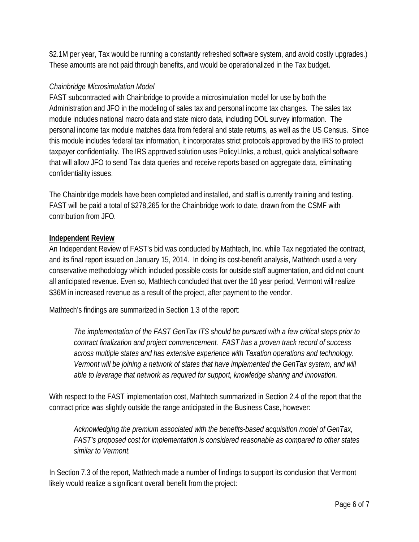\$2.1M per year, Tax would be running a constantly refreshed software system, and avoid costly upgrades.) These amounts are not paid through benefits, and would be operationalized in the Tax budget.

## *Chainbridge Microsimulation Model*

FAST subcontracted with Chainbridge to provide a microsimulation model for use by both the Administration and JFO in the modeling of sales tax and personal income tax changes. The sales tax module includes national macro data and state micro data, including DOL survey information. The personal income tax module matches data from federal and state returns, as well as the US Census. Since this module includes federal tax information, it incorporates strict protocols approved by the IRS to protect taxpayer confidentiality. The IRS approved solution uses PolicyLInks, a robust, quick analytical software that will allow JFO to send Tax data queries and receive reports based on aggregate data, eliminating confidentiality issues.

The Chainbridge models have been completed and installed, and staff is currently training and testing. FAST will be paid a total of \$278,265 for the Chainbridge work to date, drawn from the CSMF with contribution from JFO.

### **Independent Review**

An Independent Review of FAST's bid was conducted by Mathtech, Inc. while Tax negotiated the contract, and its final report issued on January 15, 2014. In doing its cost-benefit analysis, Mathtech used a very conservative methodology which included possible costs for outside staff augmentation, and did not count all anticipated revenue. Even so, Mathtech concluded that over the 10 year period, Vermont will realize \$36M in increased revenue as a result of the project, after payment to the vendor.

Mathtech's findings are summarized in Section 1.3 of the report:

*The implementation of the FAST GenTax ITS should be pursued with a few critical steps prior to contract finalization and project commencement. FAST has a proven track record of success across multiple states and has extensive experience with Taxation operations and technology. Vermont will be joining a network of states that have implemented the GenTax system, and will able to leverage that network as required for support, knowledge sharing and innovation.* 

With respect to the FAST implementation cost, Mathtech summarized in Section 2.4 of the report that the contract price was slightly outside the range anticipated in the Business Case, however:

*Acknowledging the premium associated with the benefits-based acquisition model of GenTax, FAST's proposed cost for implementation is considered reasonable as compared to other states similar to Vermont.* 

In Section 7.3 of the report, Mathtech made a number of findings to support its conclusion that Vermont likely would realize a significant overall benefit from the project: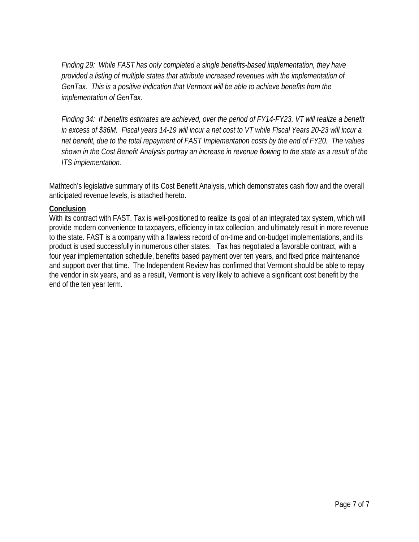*Finding 29: While FAST has only completed a single benefits-based implementation, they have provided a listing of multiple states that attribute increased revenues with the implementation of GenTax. This is a positive indication that Vermont will be able to achieve benefits from the implementation of GenTax.*

*Finding 34: If benefits estimates are achieved, over the period of FY14-FY23, VT will realize a benefit in excess of \$36M. Fiscal years 14-19 will incur a net cost to VT while Fiscal Years 20-23 will incur a net benefit, due to the total repayment of FAST Implementation costs by the end of FY20. The values shown in the Cost Benefit Analysis portray an increase in revenue flowing to the state as a result of the ITS implementation.*

Mathtech's legislative summary of its Cost Benefit Analysis, which demonstrates cash flow and the overall anticipated revenue levels, is attached hereto.

#### **Conclusion**

With its contract with FAST, Tax is well-positioned to realize its goal of an integrated tax system, which will provide modern convenience to taxpayers, efficiency in tax collection, and ultimately result in more revenue to the state. FAST is a company with a flawless record of on-time and on-budget implementations, and its product is used successfully in numerous other states. Tax has negotiated a favorable contract, with a four year implementation schedule, benefits based payment over ten years, and fixed price maintenance and support over that time. The Independent Review has confirmed that Vermont should be able to repay the vendor in six years, and as a result, Vermont is very likely to achieve a significant cost benefit by the end of the ten year term.